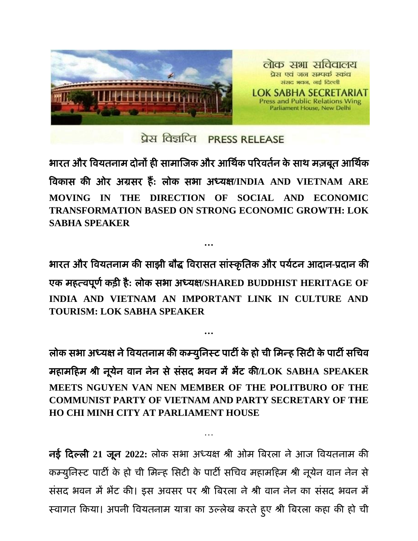

प्रेस विज्ञप्ति PRESS RELEASE

भारत और वियतनाम दोनों ही सामाजिक और आर्थिक परिवर्तन के साथ मज़बूत आर्थिक विकास की ओय अग्रसय हैं**:** रोक सबा अध्मऺ**/INDIA AND VIETNAM ARE MOVING IN THE DIRECTION OF SOCIAL AND ECONOMIC TRANSFORMATION BASED ON STRONG ECONOMIC GROWTH: LOK SABHA SPEAKER**

बायत औय विमतनाभ की साझी फौद्ध वियासत साांस्कृ र्तक औय ऩमिटन आदान**-**प्रदान की एक भहत्िऩूर्िकडी है**:** रोक सबा अध्मऺ**/SHARED BUDDHIST HERITAGE OF INDIA AND VIETNAM AN IMPORTANT LINK IN CULTURE AND TOURISM: LOK SABHA SPEAKER**

**…**

**…**

लोक सभा अध्यक्ष ने वियतनाम की कम्युनिस्ट पार्टी के हो ची मिन्ह सिटी के पार्टी सचिव भहाभहहभ श्री नूमेन िान नेन सेसांसद बिन भेंबेंट की**/LOK SABHA SPEAKER MEETS NGUYEN VAN NEN MEMBER OF THE POLITBURO OF THE COMMUNIST PARTY OF VIETNAM AND PARTY SECRETARY OF THE HO CHI MINH CITY AT PARLIAMENT HOUSE**

नई हदल्री **21** िून **2022:** रोक सबा अध्मऺ श्री ओभ वफयरा नेआि विमतनाभ की कम्युनिस्ट पार्टी के हो ची मिन्ह सिटी के पार्टी सचिव महामहिम श्री नूयेन वान नेन से संसद भवन में भेंट की। इस अवसर पर श्री बिरला ने श्री वान नेन का संसद भवन में स्वागत किया। अपनी वियतनाम यात्रा का उल्लेख करते हुए श्री बिरला कहा की हो ची

…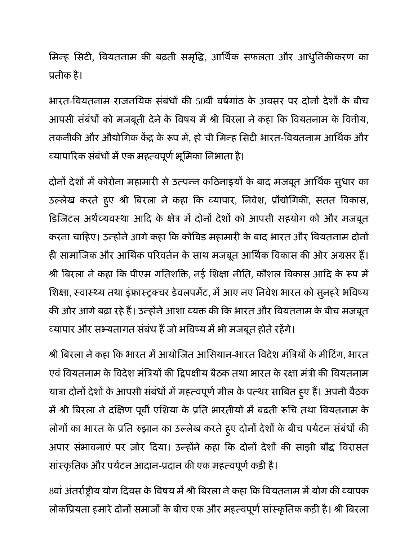मिन्ह सिटी, वियतनाम की बढ़ती समृद्धि, आर्थिक सफलता और आधुनिकीकरण का प्रतीक है।

भारत-वियतनाम राजनयिक संबंधों की 50वीं वर्षगांठ के अवसर पर दोनों देशों के बीच आपसी संबंधों को मजबूती देने के विषय में श्री बिरला ने कहा कि वियतनाम के वित्तीय, तकनीकी और औद्योगिक केंद्र के रूप में, हो ची मिन्ह सिटी भारत-वियतनाम आर्थिक और व्यापारिक संबंधों में एक महत्वपूर्ण भूमिका निभाता है।

दोनों देशों में कोरोना महामारी से उत्पन्न कठिनाइयों के बाद मजबूत आर्थिक सुधार का उल्लेख करते हुए श्री बिरला ने कहा कि व्यापार, निवेश, प्रौद्योगिकी, सतत विकास, डिजिटल अर्थव्यवस्था आदि के क्षेत्र में दोनों देशों को आपसी सहयोग को और मजबूत करना चाहिए। उन्होंने आगे कहा कि कोविड महामारी के बाद भारत और वियतनाम दोनों ही सामाजिक और आर्थिक परिवर्तन के साथ मज़बूत आर्थिक विकास की ओर अग्रसर हैं। श्री बिरला ने कहा कि पीएम गतिशक्ति, नई शिक्षा नीति, कौशल विकास आदि के रूप में शिक्षा, स्वास्थ्य तथा इंफ्रास्ट्रक्चर डेवलपमेंट, में आए नए निवेश भारत को सुनहरे भविष्य की ओर आगे बढ़ा रहे हैं। उन्होंने आशा व्यक्त की कि भारत और वियतनाम के बीच मजबूत व्यापार और सभ्यतागत संबंध हैं जो भविष्य में भी मजबूत होते रहेंगे।

श्री बिरला ने कहा कि भारत में आयोजित आसियान-भारत विदेश मंत्रियों के मीटिंग, भारत एवं वियतनाम के विदेश मंत्रियों की द्विपक्षीय बैठक तथा भारत के रक्षा मंत्री की वियतनाम यात्रा दोनों देशों के आपसी संबंधों में महत्वपूर्ण मील के पत्थर साबित हुए है। अपनी बैठक में श्री बिरला ने दक्षिण पूर्वी एशिया के प्रति भारतीयों में बढ़ती रूचि तथा वियतनाम के लोगों का भारत के प्रति रुझान का उल्लेख करते हुए दोनों देशों के बीच पर्यटन संबंधों की अपार संभावनाएं पर ज़ोर दिया। उन्होंने कहा कि दोनों देशों की साझी बौद्ध विरासत सांस्कृतिक और पर्यटन आदान-प्रदान की एक महत्वपूर्ण कड़ी है।

8वां अंतर्राष्ट्रीय योग दिवस के विषय में श्री बिरला ने कहा कि वियतनाम में योग की व्यापक लोकप्रियता हमारे दोनों समाजों के बीच एक और महत्वपूर्ण सांस्कृतिक कड़ी है। श्री बिरला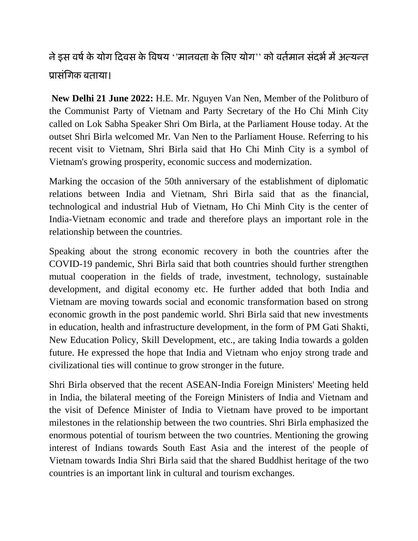## ने इस वर्ष के योग दिवस के विषय ''मानवता के लिए योग'' को वर्तमान संदर्भ में अत्यन्त प्रासांर्गक फतामा।

**New Delhi 21 June 2022:** H.E. Mr. Nguyen Van Nen, Member of the Politburo of the Communist Party of Vietnam and Party Secretary of the Ho Chi Minh City called on Lok Sabha Speaker Shri Om Birla, at the Parliament House today. At the outset Shri Birla welcomed Mr. Van Nen to the Parliament House. Referring to his recent visit to Vietnam, Shri Birla said that Ho Chi Minh City is a symbol of Vietnam's growing prosperity, economic success and modernization.

Marking the occasion of the 50th anniversary of the establishment of diplomatic relations between India and Vietnam, Shri Birla said that as the financial, technological and industrial Hub of Vietnam, Ho Chi Minh City is the center of India-Vietnam economic and trade and therefore plays an important role in the relationship between the countries.

Speaking about the strong economic recovery in both the countries after the COVID-19 pandemic, Shri Birla said that both countries should further strengthen mutual cooperation in the fields of trade, investment, technology, sustainable development, and digital economy etc. He further added that both India and Vietnam are moving towards social and economic transformation based on strong economic growth in the post pandemic world. Shri Birla said that new investments in education, health and infrastructure development, in the form of PM Gati Shakti, New Education Policy, Skill Development, etc., are taking India towards a golden future. He expressed the hope that India and Vietnam who enjoy strong trade and civilizational ties will continue to grow stronger in the future.

Shri Birla observed that the recent ASEAN-India Foreign Ministers' Meeting held in India, the bilateral meeting of the Foreign Ministers of India and Vietnam and the visit of Defence Minister of India to Vietnam have proved to be important milestones in the relationship between the two countries. Shri Birla emphasized the enormous potential of tourism between the two countries. Mentioning the growing interest of Indians towards South East Asia and the interest of the people of Vietnam towards India Shri Birla said that the shared Buddhist heritage of the two countries is an important link in cultural and tourism exchanges.